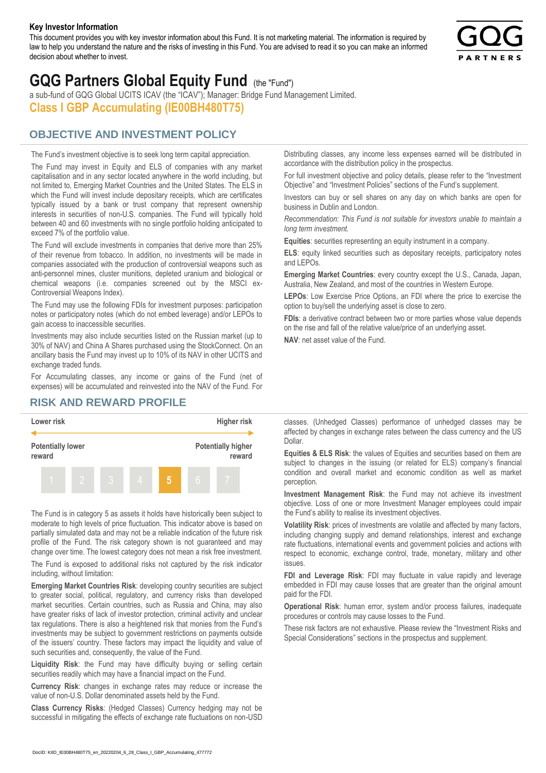#### **Key Investor Information**

This document provides you with key investor information about this Fund. It is not marketing material. The information is required by law to help you understand the nature and the risks of investing in this Fund. You are advised to read it so you can make an informed decision about whether to invest.



# **GQG Partners Global Equity Fund** (the "Fund")

a sub-fund of GQG Global UCITS ICAV (the "ICAV"); Manager: Bridge Fund Management Limited. **Class I GBP Accumulating (IE00BH480T75)**

### **OBJECTIVE AND INVESTMENT POLICY**

The Fund's investment objective is to seek long term capital appreciation. The Fund may invest in Equity and ELS of companies with any market capitalisation and in any sector located anywhere in the world including, but not limited to, Emerging Market Countries and the United States. The ELS in which the Fund will invest include depositary receipts, which are certificates typically issued by a bank or trust company that represent ownership interests in securities of non-U.S. companies. The Fund will typically hold between 40 and 60 investments with no single portfolio holding anticipated to exceed 7% of the portfolio value.

The Fund will exclude investments in companies that derive more than 25% of their revenue from tobacco. In addition, no investments will be made in companies associated with the production of controversial weapons such as anti-personnel mines, cluster munitions, depleted uranium and biological or chemical weapons (i.e. companies screened out by the MSCI ex-Controversial Weapons Index).

The Fund may use the following FDIs for investment purposes: participation notes or participatory notes (which do not embed leverage) and/or LEPOs to gain access to inaccessible securities.

Investments may also include securities listed on the Russian market (up to 30% of NAV) and China A Shares purchased using the StockConnect. On an ancillary basis the Fund may invest up to 10% of its NAV in other UCITS and exchange traded funds.

For Accumulating classes, any income or gains of the Fund (net of expenses) will be accumulated and reinvested into the NAV of the Fund. For Distributing classes, any income less expenses earned will be distributed in accordance with the distribution policy in the prospectus.

For full investment objective and policy details, please refer to the "Investment Objective" and "Investment Policies" sections of the Fund's supplement.

Investors can buy or sell shares on any day on which banks are open for business in Dublin and London.

*Recommendation: This Fund is not suitable for investors unable to maintain a long term investment.*

**Equities**: securities representing an equity instrument in a company.

**ELS**: equity linked securities such as depositary receipts, participatory notes and LEPOs.

**Emerging Market Countries**: every country except the U.S., Canada, Japan, Australia, New Zealand, and most of the countries in Western Europe.

**LEPOs**: Low Exercise Price Options, an FDI where the price to exercise the option to buy/sell the underlying asset is close to zero.

**FDIs**: a derivative contract between two or more parties whose value depends on the rise and fall of the relative value/price of an underlying asset.

**NAV**: net asset value of the Fund.

#### **RISK AND REWARD PROFILE**



The Fund is in category 5 as assets it holds have historically been subject to moderate to high levels of price fluctuation. This indicator above is based on partially simulated data and may not be a reliable indication of the future risk profile of the Fund. The risk category shown is not guaranteed and may change over time. The lowest category does not mean a risk free investment.

The Fund is exposed to additional risks not captured by the risk indicator including, without limitation:

**Emerging Market Countries Risk**: developing country securities are subject to greater social, political, regulatory, and currency risks than developed market securities. Certain countries, such as Russia and China, may also have greater risks of lack of investor protection, criminal activity and unclear tax regulations. There is also a heightened risk that monies from the Fund's investments may be subject to government restrictions on payments outside of the issuers' country. These factors may impact the liquidity and value of such securities and, consequently, the value of the Fund.

**Liquidity Risk**: the Fund may have difficulty buying or selling certain securities readily which may have a financial impact on the Fund.

**Currency Risk**: changes in exchange rates may reduce or increase the value of non-U.S. Dollar denominated assets held by the Fund.

**Class Currency Risks**: (Hedged Classes) Currency hedging may not be successful in mitigating the effects of exchange rate fluctuations on non-USD classes. (Unhedged Classes) performance of unhedged classes may be affected by changes in exchange rates between the class currency and the US Dollar.

**Equities & ELS Risk**: the values of Equities and securities based on them are subject to changes in the issuing (or related for ELS) company's financial condition and overall market and economic condition as well as market perception.

**Investment Management Risk**: the Fund may not achieve its investment objective. Loss of one or more Investment Manager employees could impair the Fund's ability to realise its investment objectives.

**Volatility Risk**: prices of investments are volatile and affected by many factors, including changing supply and demand relationships, interest and exchange rate fluctuations, international events and government policies and actions with respect to economic, exchange control, trade, monetary, military and other issues.

**FDI and Leverage Risk**: FDI may fluctuate in value rapidly and leverage embedded in FDI may cause losses that are greater than the original amount paid for the FDI.

**Operational Risk**: human error, system and/or process failures, inadequate procedures or controls may cause losses to the Fund.

These risk factors are not exhaustive. Please review the "Investment Risks and Special Considerations" sections in the prospectus and supplement.